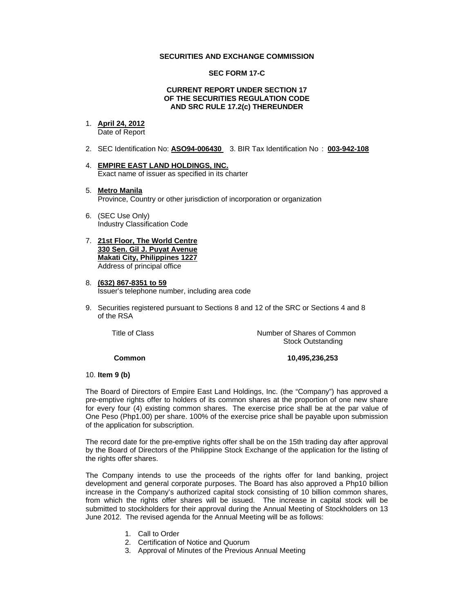## **SECURITIES AND EXCHANGE COMMISSION**

## **SEC FORM 17-C**

#### **CURRENT REPORT UNDER SECTION 17 OF THE SECURITIES REGULATION CODE AND SRC RULE 17.2(c) THEREUNDER**

#### 1. **April 24, 2012**

Date of Report

- 2. SEC Identification No: **ASO94-006430** 3. BIR Tax Identification No : **003-942-108**
- 4. **EMPIRE EAST LAND HOLDINGS, INC.** Exact name of issuer as specified in its charter
- 5. **Metro Manila** Province, Country or other jurisdiction of incorporation or organization
- 6. (SEC Use Only) Industry Classification Code
- 7. **21st Floor, The World Centre 330 Sen. Gil J. Puyat Avenue Makati City, Philippines 1227** Address of principal office
- 8. **(632) 867-8351 to 59** Issuer's telephone number, including area code
- 9. Securities registered pursuant to Sections 8 and 12 of the SRC or Sections 4 and 8 of the RSA

 Title of ClassNumber of Shares of Common Stock Outstanding

 **Common 10,495,236,253** 

## 10. **Item 9 (b)**

The Board of Directors of Empire East Land Holdings, Inc. (the "Company") has approved a pre-emptive rights offer to holders of its common shares at the proportion of one new share for every four (4) existing common shares. The exercise price shall be at the par value of One Peso (Php1.00) per share. 100% of the exercise price shall be payable upon submission of the application for subscription.

The record date for the pre-emptive rights offer shall be on the 15th trading day after approval by the Board of Directors of the Philippine Stock Exchange of the application for the listing of the rights offer shares.

The Company intends to use the proceeds of the rights offer for land banking, project development and general corporate purposes. The Board has also approved a Php10 billion increase in the Company's authorized capital stock consisting of 10 billion common shares, from which the rights offer shares will be issued. The increase in capital stock will be submitted to stockholders for their approval during the Annual Meeting of Stockholders on 13 June 2012. The revised agenda for the Annual Meeting will be as follows:

- 1. Call to Order
- 2. Certification of Notice and Quorum
- 3. Approval of Minutes of the Previous Annual Meeting